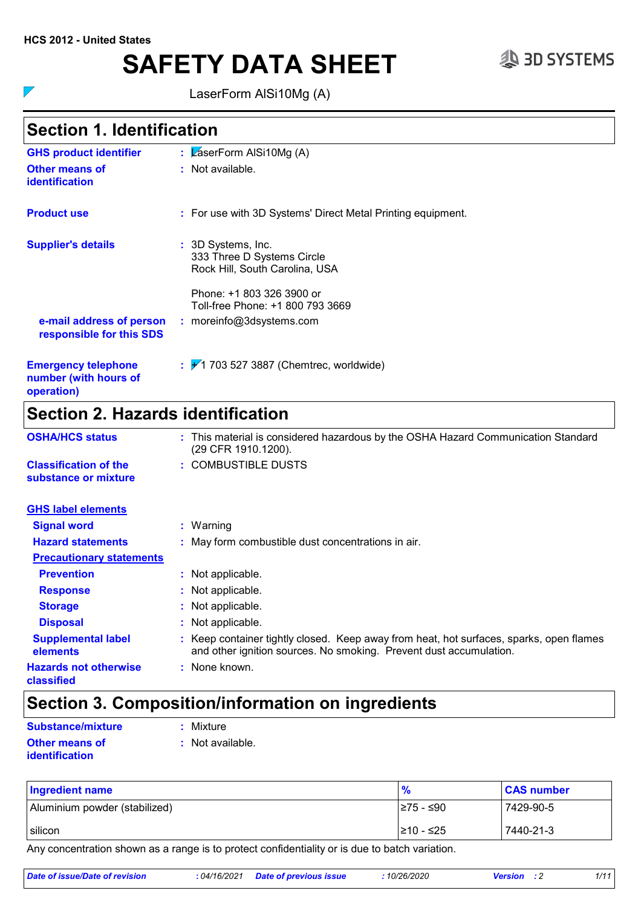$\nabla$ 

# **SAFETY DATA SHEET**  $\qquad \qquad \text{3D SYSTEMS}$

LaserForm AlSi10Mg (A)

# **Section 1. Identification**

| <b>GHS product identifier</b>                                     | : $\sqrt{2}$ aserForm AISi10Mg (A)                                                 |
|-------------------------------------------------------------------|------------------------------------------------------------------------------------|
| Other means of<br><b>identification</b>                           | : Not available.                                                                   |
| <b>Product use</b>                                                | : For use with 3D Systems' Direct Metal Printing equipment.                        |
| <b>Supplier's details</b>                                         | : 3D Systems, Inc.<br>333 Three D Systems Circle<br>Rock Hill, South Carolina, USA |
|                                                                   | Phone: +1 803 326 3900 or<br>Toll-free Phone: +1 800 793 3669                      |
| e-mail address of person<br>responsible for this SDS              | : moreinfo@3dsystems.com                                                           |
| <b>Emergency telephone</b><br>number (with hours of<br>operation) | $\div$ 703 527 3887 (Chemtrec, worldwide)                                          |
|                                                                   |                                                                                    |

# **Section 2. Hazards identification**

| <b>OSHA/HCS status</b>                               | : This material is considered hazardous by the OSHA Hazard Communication Standard<br>(29 CFR 1910.1200).                                                    |
|------------------------------------------------------|-------------------------------------------------------------------------------------------------------------------------------------------------------------|
| <b>Classification of the</b><br>substance or mixture | : COMBUSTIBLE DUSTS                                                                                                                                         |
| <b>GHS label elements</b>                            |                                                                                                                                                             |
| <b>Signal word</b>                                   | : Warning                                                                                                                                                   |
| <b>Hazard statements</b>                             | : May form combustible dust concentrations in air.                                                                                                          |
| <b>Precautionary statements</b>                      |                                                                                                                                                             |
| <b>Prevention</b>                                    | : Not applicable.                                                                                                                                           |
| <b>Response</b>                                      | : Not applicable.                                                                                                                                           |
| <b>Storage</b>                                       | : Not applicable.                                                                                                                                           |
| <b>Disposal</b>                                      | : Not applicable.                                                                                                                                           |
| <b>Supplemental label</b><br>elements                | Keep container tightly closed. Keep away from heat, hot surfaces, sparks, open flames<br>and other ignition sources. No smoking. Prevent dust accumulation. |
| <b>Hazards not otherwise</b><br>classified           | : None known.                                                                                                                                               |

# **Section 3. Composition/information on ingredients**

| Substance/mixture     | : Mixture        |
|-----------------------|------------------|
| <b>Other means of</b> | : Not available. |
| <i>identification</i> |                  |

| <b>Ingredient name</b>        | $\frac{9}{6}$ | <b>CAS number</b> |
|-------------------------------|---------------|-------------------|
| Aluminium powder (stabilized) | I≥75 - ≤90    | 7429-90-5         |
| silicon                       | 210 - ≤25     | 7440-21-3         |

Any concentration shown as a range is to protect confidentiality or is due to batch variation.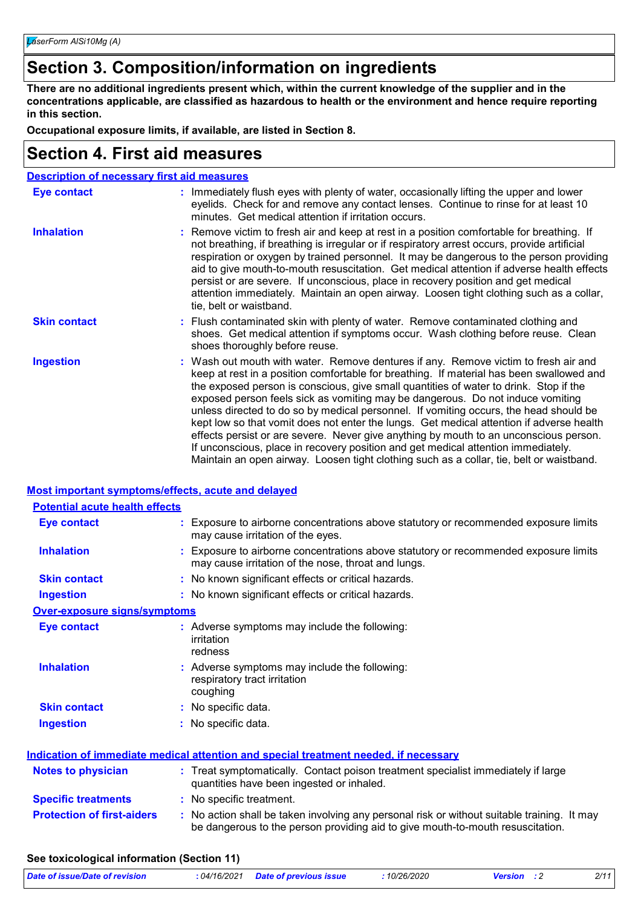# **Section 3. Composition/information on ingredients**

**There are no additional ingredients present which, within the current knowledge of the supplier and in the concentrations applicable, are classified as hazardous to health or the environment and hence require reporting in this section.**

**Occupational exposure limits, if available, are listed in Section 8.**

# **Section 4. First aid measures**

| <b>Description of necessary first aid measures</b> |                                                                                                                                                                                                                                                                                                                                                                                                                                                                                                                                                                                                                                                                                                                                                                                                                           |
|----------------------------------------------------|---------------------------------------------------------------------------------------------------------------------------------------------------------------------------------------------------------------------------------------------------------------------------------------------------------------------------------------------------------------------------------------------------------------------------------------------------------------------------------------------------------------------------------------------------------------------------------------------------------------------------------------------------------------------------------------------------------------------------------------------------------------------------------------------------------------------------|
| Eye contact                                        | : Immediately flush eyes with plenty of water, occasionally lifting the upper and lower<br>eyelids. Check for and remove any contact lenses. Continue to rinse for at least 10<br>minutes. Get medical attention if irritation occurs.                                                                                                                                                                                                                                                                                                                                                                                                                                                                                                                                                                                    |
| <b>Inhalation</b>                                  | : Remove victim to fresh air and keep at rest in a position comfortable for breathing. If<br>not breathing, if breathing is irregular or if respiratory arrest occurs, provide artificial<br>respiration or oxygen by trained personnel. It may be dangerous to the person providing<br>aid to give mouth-to-mouth resuscitation. Get medical attention if adverse health effects<br>persist or are severe. If unconscious, place in recovery position and get medical<br>attention immediately. Maintain an open airway. Loosen tight clothing such as a collar,<br>tie, belt or waistband.                                                                                                                                                                                                                              |
| <b>Skin contact</b>                                | : Flush contaminated skin with plenty of water. Remove contaminated clothing and<br>shoes. Get medical attention if symptoms occur. Wash clothing before reuse. Clean<br>shoes thoroughly before reuse.                                                                                                                                                                                                                                                                                                                                                                                                                                                                                                                                                                                                                   |
| <b>Ingestion</b>                                   | : Wash out mouth with water. Remove dentures if any. Remove victim to fresh air and<br>keep at rest in a position comfortable for breathing. If material has been swallowed and<br>the exposed person is conscious, give small quantities of water to drink. Stop if the<br>exposed person feels sick as vomiting may be dangerous. Do not induce vomiting<br>unless directed to do so by medical personnel. If vomiting occurs, the head should be<br>kept low so that vomit does not enter the lungs. Get medical attention if adverse health<br>effects persist or are severe. Never give anything by mouth to an unconscious person.<br>If unconscious, place in recovery position and get medical attention immediately.<br>Maintain an open airway. Loosen tight clothing such as a collar, tie, belt or waistband. |

### **Most important symptoms/effects, acute and delayed**

| <b>Potential acute health effects</b> |                                                                                                                                           |  |
|---------------------------------------|-------------------------------------------------------------------------------------------------------------------------------------------|--|
| Eye contact                           | Exposure to airborne concentrations above statutory or recommended exposure limits<br>may cause irritation of the eyes.                   |  |
| <b>Inhalation</b>                     | Exposure to airborne concentrations above statutory or recommended exposure limits<br>may cause irritation of the nose, throat and lungs. |  |
| <b>Skin contact</b>                   | : No known significant effects or critical hazards.                                                                                       |  |
| <b>Ingestion</b>                      | : No known significant effects or critical hazards.                                                                                       |  |
| <b>Over-exposure signs/symptoms</b>   |                                                                                                                                           |  |
| <b>Eye contact</b>                    | : Adverse symptoms may include the following:<br>irritation<br>redness                                                                    |  |
| <b>Inhalation</b>                     | : Adverse symptoms may include the following:<br>respiratory tract irritation<br>coughing                                                 |  |
| <b>Skin contact</b>                   | : No specific data.                                                                                                                       |  |
| <b>Ingestion</b>                      | : No specific data.                                                                                                                       |  |
|                                       | <u>Indication of immediate medical attention and special treatment needed, if necessary</u>                                               |  |
| <b>Notes to physician</b>             | : Treat symptomatically. Contact poison treatment specialist immediately if large<br>quantities have been ingested or inhaled.            |  |
| <b>Specific treatments</b>            | : No specific treatment.                                                                                                                  |  |

### **Protection of first-aiders** : No action shall be taken involving any personal risk or without suitable training. It may be dangerous to the person providing aid to give mouth-to-mouth resuscitation.

### **See toxicological information (Section 11)**

| Date of issue/Date of revision | : 04/16/2021 Date of previous issue | 10/26/2020 | <b>Version</b> : 2 | 2/11 |
|--------------------------------|-------------------------------------|------------|--------------------|------|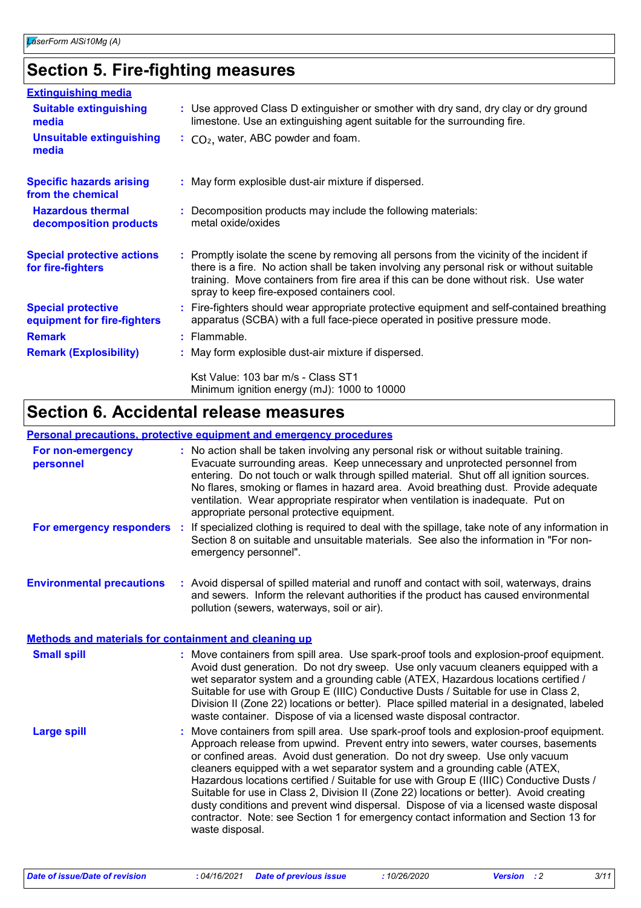# **Section 5. Fire-fighting measures**

| <b>Extinguishing media</b>                               |                                                                                                                                                                                                                                                                                                                               |
|----------------------------------------------------------|-------------------------------------------------------------------------------------------------------------------------------------------------------------------------------------------------------------------------------------------------------------------------------------------------------------------------------|
| <b>Suitable extinguishing</b><br>media                   | : Use approved Class D extinguisher or smother with dry sand, dry clay or dry ground<br>limestone. Use an extinguishing agent suitable for the surrounding fire.                                                                                                                                                              |
| <b>Unsuitable extinguishing</b><br>media                 | $\therefore$ CO <sub>2</sub> , water, ABC powder and foam.                                                                                                                                                                                                                                                                    |
| <b>Specific hazards arising</b><br>from the chemical     | : May form explosible dust-air mixture if dispersed.                                                                                                                                                                                                                                                                          |
| <b>Hazardous thermal</b><br>decomposition products       | Decomposition products may include the following materials:<br>metal oxide/oxides                                                                                                                                                                                                                                             |
| <b>Special protective actions</b><br>for fire-fighters   | : Promptly isolate the scene by removing all persons from the vicinity of the incident if<br>there is a fire. No action shall be taken involving any personal risk or without suitable<br>training. Move containers from fire area if this can be done without risk. Use water<br>spray to keep fire-exposed containers cool. |
| <b>Special protective</b><br>equipment for fire-fighters | : Fire-fighters should wear appropriate protective equipment and self-contained breathing<br>apparatus (SCBA) with a full face-piece operated in positive pressure mode.                                                                                                                                                      |
| <b>Remark</b>                                            | $:$ Flammable.                                                                                                                                                                                                                                                                                                                |
| <b>Remark (Explosibility)</b>                            | : May form explosible dust-air mixture if dispersed.                                                                                                                                                                                                                                                                          |
|                                                          | Kst Value: 103 bar m/s - Class ST1<br>Minimum ignition energy (mJ): 1000 to 10000                                                                                                                                                                                                                                             |

# **Section 6. Accidental release measures**

### **Personal precautions, protective equipment and emergency procedures**

| For non-emergency<br>personnel   | : No action shall be taken involving any personal risk or without suitable training.<br>Evacuate surrounding areas. Keep unnecessary and unprotected personnel from<br>entering. Do not touch or walk through spilled material. Shut off all ignition sources.<br>No flares, smoking or flames in hazard area. Avoid breathing dust. Provide adequate<br>ventilation. Wear appropriate respirator when ventilation is inadequate. Put on<br>appropriate personal protective equipment. |
|----------------------------------|----------------------------------------------------------------------------------------------------------------------------------------------------------------------------------------------------------------------------------------------------------------------------------------------------------------------------------------------------------------------------------------------------------------------------------------------------------------------------------------|
|                                  | For emergency responders : If specialized clothing is required to deal with the spillage, take note of any information in<br>Section 8 on suitable and unsuitable materials. See also the information in "For non-<br>emergency personnel".                                                                                                                                                                                                                                            |
| <b>Environmental precautions</b> | : Avoid dispersal of spilled material and runoff and contact with soil, waterways, drains<br>and sewers. Inform the relevant authorities if the product has caused environmental<br>pollution (sewers, waterways, soil or air).                                                                                                                                                                                                                                                        |

### **Methods and materials for containment and cleaning up**

| <b>Small spill</b> | : Move containers from spill area. Use spark-proof tools and explosion-proof equipment.<br>Avoid dust generation. Do not dry sweep. Use only vacuum cleaners equipped with a<br>wet separator system and a grounding cable (ATEX, Hazardous locations certified /<br>Suitable for use with Group E (IIIC) Conductive Dusts / Suitable for use in Class 2,<br>Division II (Zone 22) locations or better). Place spilled material in a designated, labeled<br>waste container. Dispose of via a licensed waste disposal contractor.                                                                                                                                                                                                   |
|--------------------|-------------------------------------------------------------------------------------------------------------------------------------------------------------------------------------------------------------------------------------------------------------------------------------------------------------------------------------------------------------------------------------------------------------------------------------------------------------------------------------------------------------------------------------------------------------------------------------------------------------------------------------------------------------------------------------------------------------------------------------|
| <b>Large spill</b> | : Move containers from spill area. Use spark-proof tools and explosion-proof equipment.<br>Approach release from upwind. Prevent entry into sewers, water courses, basements<br>or confined areas. Avoid dust generation. Do not dry sweep. Use only vacuum<br>cleaners equipped with a wet separator system and a grounding cable (ATEX,<br>Hazardous locations certified / Suitable for use with Group E (IIIC) Conductive Dusts /<br>Suitable for use in Class 2, Division II (Zone 22) locations or better). Avoid creating<br>dusty conditions and prevent wind dispersal. Dispose of via a licensed waste disposal<br>contractor. Note: see Section 1 for emergency contact information and Section 13 for<br>waste disposal. |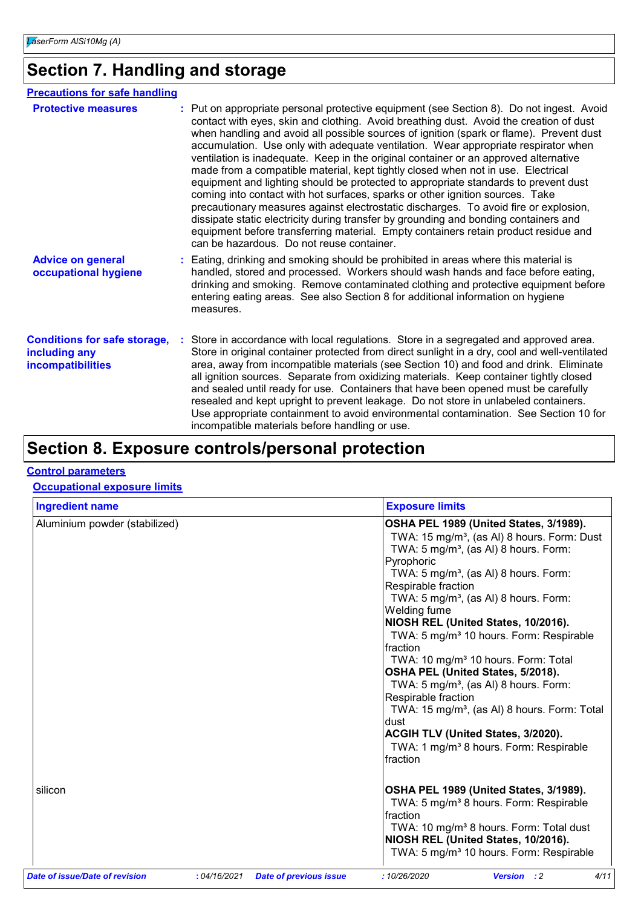# **Section 7. Handling and storage**

| <b>Precautions for safe handling</b>                                             |                                                                                                                                                                                                                                                                                                                                                                                                                                                                                                                                                                                                                                                                                                                                                                                                                                                                                                                                                                                                                                             |
|----------------------------------------------------------------------------------|---------------------------------------------------------------------------------------------------------------------------------------------------------------------------------------------------------------------------------------------------------------------------------------------------------------------------------------------------------------------------------------------------------------------------------------------------------------------------------------------------------------------------------------------------------------------------------------------------------------------------------------------------------------------------------------------------------------------------------------------------------------------------------------------------------------------------------------------------------------------------------------------------------------------------------------------------------------------------------------------------------------------------------------------|
| <b>Protective measures</b>                                                       | : Put on appropriate personal protective equipment (see Section 8). Do not ingest. Avoid<br>contact with eyes, skin and clothing. Avoid breathing dust. Avoid the creation of dust<br>when handling and avoid all possible sources of ignition (spark or flame). Prevent dust<br>accumulation. Use only with adequate ventilation. Wear appropriate respirator when<br>ventilation is inadequate. Keep in the original container or an approved alternative<br>made from a compatible material, kept tightly closed when not in use. Electrical<br>equipment and lighting should be protected to appropriate standards to prevent dust<br>coming into contact with hot surfaces, sparks or other ignition sources. Take<br>precautionary measures against electrostatic discharges. To avoid fire or explosion,<br>dissipate static electricity during transfer by grounding and bonding containers and<br>equipment before transferring material. Empty containers retain product residue and<br>can be hazardous. Do not reuse container. |
| <b>Advice on general</b><br>occupational hygiene                                 | : Eating, drinking and smoking should be prohibited in areas where this material is<br>handled, stored and processed. Workers should wash hands and face before eating,<br>drinking and smoking. Remove contaminated clothing and protective equipment before<br>entering eating areas. See also Section 8 for additional information on hygiene<br>measures.                                                                                                                                                                                                                                                                                                                                                                                                                                                                                                                                                                                                                                                                               |
| <b>Conditions for safe storage,</b><br>including any<br><b>incompatibilities</b> | Store in accordance with local regulations. Store in a segregated and approved area.<br>Store in original container protected from direct sunlight in a dry, cool and well-ventilated<br>area, away from incompatible materials (see Section 10) and food and drink. Eliminate<br>all ignition sources. Separate from oxidizing materials. Keep container tightly closed<br>and sealed until ready for use. Containers that have been opened must be carefully<br>resealed and kept upright to prevent leakage. Do not store in unlabeled containers.<br>Use appropriate containment to avoid environmental contamination. See Section 10 for<br>incompatible materials before handling or use.                                                                                                                                                                                                                                                                                                                                             |

# **Section 8. Exposure controls/personal protection**

### **Control parameters**

### **Occupational exposure limits**

| <b>Ingredient name</b>         |              |                               | <b>Exposure limits</b>                                                                                                                                                                                                                                                                                                                                                                                                                                                                                                                                                                                                                                                                                                                                                          |
|--------------------------------|--------------|-------------------------------|---------------------------------------------------------------------------------------------------------------------------------------------------------------------------------------------------------------------------------------------------------------------------------------------------------------------------------------------------------------------------------------------------------------------------------------------------------------------------------------------------------------------------------------------------------------------------------------------------------------------------------------------------------------------------------------------------------------------------------------------------------------------------------|
| Aluminium powder (stabilized)  |              |                               | OSHA PEL 1989 (United States, 3/1989).<br>TWA: 15 mg/m <sup>3</sup> , (as Al) 8 hours. Form: Dust<br>TWA: 5 mg/m <sup>3</sup> , (as AI) 8 hours. Form:<br>Pyrophoric<br>TWA: 5 mg/m <sup>3</sup> , (as AI) 8 hours. Form:<br>Respirable fraction<br>TWA: 5 mg/m <sup>3</sup> , (as AI) 8 hours. Form:<br>Welding fume<br>NIOSH REL (United States, 10/2016).<br>TWA: 5 mg/m <sup>3</sup> 10 hours. Form: Respirable<br>fraction<br>TWA: 10 mg/m <sup>3</sup> 10 hours. Form: Total<br>OSHA PEL (United States, 5/2018).<br>TWA: 5 mg/m <sup>3</sup> , (as AI) 8 hours. Form:<br>Respirable fraction<br>TWA: 15 mg/m <sup>3</sup> , (as Al) 8 hours. Form: Total<br>dust<br>ACGIH TLV (United States, 3/2020).<br>TWA: 1 mg/m <sup>3</sup> 8 hours. Form: Respirable<br>fraction |
| silicon                        |              |                               | OSHA PEL 1989 (United States, 3/1989).<br>TWA: 5 mg/m <sup>3</sup> 8 hours. Form: Respirable<br>fraction<br>TWA: 10 mg/m <sup>3</sup> 8 hours. Form: Total dust<br>NIOSH REL (United States, 10/2016).<br>TWA: 5 mg/m <sup>3</sup> 10 hours. Form: Respirable                                                                                                                                                                                                                                                                                                                                                                                                                                                                                                                   |
| Date of issue/Date of revision | : 04/16/2021 | <b>Date of previous issue</b> | 4/11<br>:10/26/2020<br><b>Version</b> : 2                                                                                                                                                                                                                                                                                                                                                                                                                                                                                                                                                                                                                                                                                                                                       |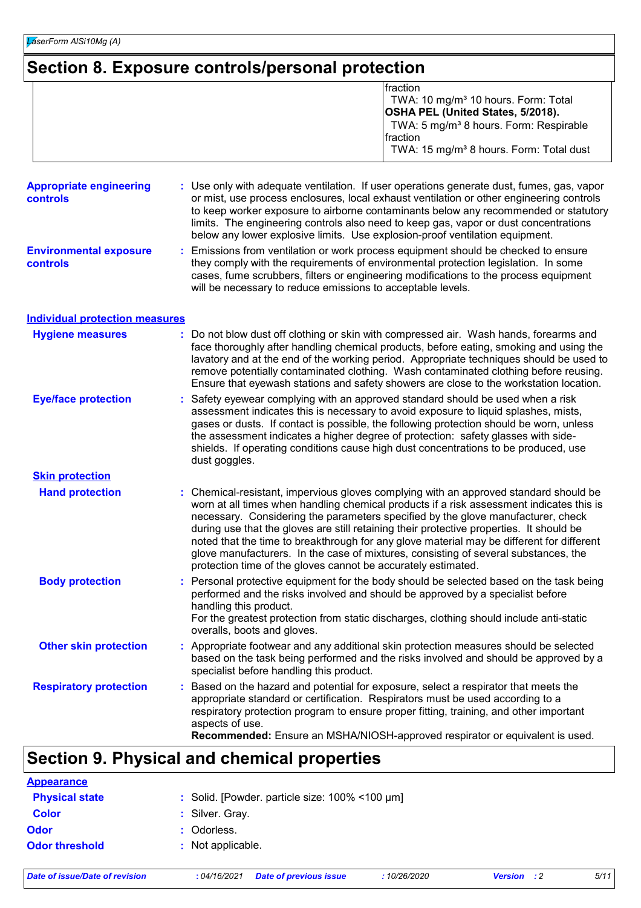# **Section 8. Exposure controls/personal protection**

|                                                   | fraction<br>TWA: 10 mg/m <sup>3</sup> 10 hours. Form: Total<br>OSHA PEL (United States, 5/2018).<br>TWA: 5 mg/m <sup>3</sup> 8 hours. Form: Respirable<br>fraction<br>TWA: 15 mg/m <sup>3</sup> 8 hours. Form: Total dust                                                                                                                                                                                                                                                                                                                                                                                            |
|---------------------------------------------------|----------------------------------------------------------------------------------------------------------------------------------------------------------------------------------------------------------------------------------------------------------------------------------------------------------------------------------------------------------------------------------------------------------------------------------------------------------------------------------------------------------------------------------------------------------------------------------------------------------------------|
| <b>Appropriate engineering</b><br><b>controls</b> | Use only with adequate ventilation. If user operations generate dust, fumes, gas, vapor<br>or mist, use process enclosures, local exhaust ventilation or other engineering controls<br>to keep worker exposure to airborne contaminants below any recommended or statutory<br>limits. The engineering controls also need to keep gas, vapor or dust concentrations<br>below any lower explosive limits. Use explosion-proof ventilation equipment.                                                                                                                                                                   |
| <b>Environmental exposure</b><br><b>controls</b>  | Emissions from ventilation or work process equipment should be checked to ensure<br>they comply with the requirements of environmental protection legislation. In some<br>cases, fume scrubbers, filters or engineering modifications to the process equipment<br>will be necessary to reduce emissions to acceptable levels.                                                                                                                                                                                                                                                                                        |
| <b>Individual protection measures</b>             |                                                                                                                                                                                                                                                                                                                                                                                                                                                                                                                                                                                                                      |
| <b>Hygiene measures</b>                           | Do not blow dust off clothing or skin with compressed air. Wash hands, forearms and<br>face thoroughly after handling chemical products, before eating, smoking and using the<br>lavatory and at the end of the working period. Appropriate techniques should be used to<br>remove potentially contaminated clothing. Wash contaminated clothing before reusing.<br>Ensure that eyewash stations and safety showers are close to the workstation location.                                                                                                                                                           |
| <b>Eye/face protection</b>                        | Safety eyewear complying with an approved standard should be used when a risk<br>assessment indicates this is necessary to avoid exposure to liquid splashes, mists,<br>gases or dusts. If contact is possible, the following protection should be worn, unless<br>the assessment indicates a higher degree of protection: safety glasses with side-<br>shields. If operating conditions cause high dust concentrations to be produced, use<br>dust goggles.                                                                                                                                                         |
| <b>Skin protection</b>                            |                                                                                                                                                                                                                                                                                                                                                                                                                                                                                                                                                                                                                      |
| <b>Hand protection</b>                            | Chemical-resistant, impervious gloves complying with an approved standard should be<br>worn at all times when handling chemical products if a risk assessment indicates this is<br>necessary. Considering the parameters specified by the glove manufacturer, check<br>during use that the gloves are still retaining their protective properties. It should be<br>noted that the time to breakthrough for any glove material may be different for different<br>glove manufacturers. In the case of mixtures, consisting of several substances, the<br>protection time of the gloves cannot be accurately estimated. |
| <b>Body protection</b>                            | : Personal protective equipment for the body should be selected based on the task being<br>performed and the risks involved and should be approved by a specialist before<br>handling this product.<br>For the greatest protection from static discharges, clothing should include anti-static<br>overalls, boots and gloves.                                                                                                                                                                                                                                                                                        |
| <b>Other skin protection</b>                      | Appropriate footwear and any additional skin protection measures should be selected<br>based on the task being performed and the risks involved and should be approved by a<br>specialist before handling this product.                                                                                                                                                                                                                                                                                                                                                                                              |
| <b>Respiratory protection</b>                     | Based on the hazard and potential for exposure, select a respirator that meets the<br>appropriate standard or certification. Respirators must be used according to a<br>respiratory protection program to ensure proper fitting, training, and other important<br>aspects of use.<br>Recommended: Ensure an MSHA/NIOSH-approved respirator or equivalent is used.                                                                                                                                                                                                                                                    |

# **Section 9. Physical and chemical properties**

| <b>Appearance</b>     |                                                         |
|-----------------------|---------------------------------------------------------|
| <b>Physical state</b> | : Solid. [Powder. particle size: $100\%$ < 100 $\mu$ m] |
| <b>Color</b>          | : Silver. Gray.                                         |
| <b>Odor</b>           | : Odorless.                                             |
| <b>Odor threshold</b> | : Not applicable.                                       |
|                       |                                                         |

*Date of issue/Date of revision* **:** *04/16/2021 Date of previous issue : 10/26/2020 Version : 2 5/11*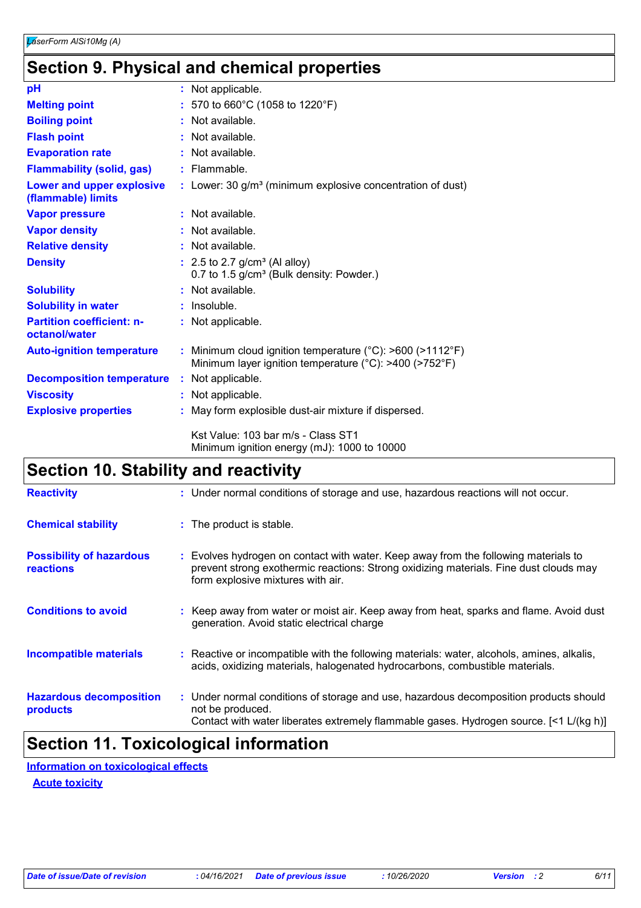# **Section 9. Physical and chemical properties**

| pH                                                |    | : Not applicable.                                                                                                                         |
|---------------------------------------------------|----|-------------------------------------------------------------------------------------------------------------------------------------------|
| <b>Melting point</b>                              |    | 570 to 660°C (1058 to 1220°F)                                                                                                             |
| <b>Boiling point</b>                              |    | Not available.                                                                                                                            |
| <b>Flash point</b>                                |    | Not available.                                                                                                                            |
| <b>Evaporation rate</b>                           | t. | Not available.                                                                                                                            |
| <b>Flammability (solid, gas)</b>                  |    | $:$ Flammable.                                                                                                                            |
| Lower and upper explosive<br>(flammable) limits   |    | : Lower: 30 $g/m3$ (minimum explosive concentration of dust)                                                                              |
| <b>Vapor pressure</b>                             |    | : Not available.                                                                                                                          |
| <b>Vapor density</b>                              |    | Not available.                                                                                                                            |
| <b>Relative density</b>                           |    | Not available.                                                                                                                            |
| <b>Density</b>                                    |    | $: 2.5$ to 2.7 g/cm <sup>3</sup> (Al alloy)<br>0.7 to 1.5 g/cm <sup>3</sup> (Bulk density: Powder.)                                       |
| <b>Solubility</b>                                 |    | Not available.                                                                                                                            |
| <b>Solubility in water</b>                        |    | Insoluble.                                                                                                                                |
| <b>Partition coefficient: n-</b><br>octanol/water |    | : Not applicable.                                                                                                                         |
| <b>Auto-ignition temperature</b>                  |    | : Minimum cloud ignition temperature ( $^{\circ}$ C): >600 (>1112 $^{\circ}$ F)<br>Minimum layer ignition temperature (°C): >400 (>752°F) |
| <b>Decomposition temperature</b>                  |    | : Not applicable.                                                                                                                         |
| <b>Viscosity</b>                                  |    | : Not applicable.                                                                                                                         |
| <b>Explosive properties</b>                       |    | : May form explosible dust-air mixture if dispersed.                                                                                      |
|                                                   |    | Kst Value: 103 bar m/s - Class ST1<br>Minimum ignition energy (mJ): 1000 to 10000                                                         |

# **Section 10. Stability and reactivity**

| <b>Reactivity</b>                                   | : Under normal conditions of storage and use, hazardous reactions will not occur.                                                                                                                               |
|-----------------------------------------------------|-----------------------------------------------------------------------------------------------------------------------------------------------------------------------------------------------------------------|
| <b>Chemical stability</b>                           | : The product is stable.                                                                                                                                                                                        |
| <b>Possibility of hazardous</b><br><b>reactions</b> | Evolves hydrogen on contact with water. Keep away from the following materials to<br>prevent strong exothermic reactions: Strong oxidizing materials. Fine dust clouds may<br>form explosive mixtures with air. |
| <b>Conditions to avoid</b>                          | : Keep away from water or moist air. Keep away from heat, sparks and flame. Avoid dust<br>generation. Avoid static electrical charge                                                                            |
| <b>Incompatible materials</b>                       | : Reactive or incompatible with the following materials: water, alcohols, amines, alkalis,<br>acids, oxidizing materials, halogenated hydrocarbons, combustible materials.                                      |
| <b>Hazardous decomposition</b><br>products          | : Under normal conditions of storage and use, hazardous decomposition products should<br>not be produced.<br>Contact with water liberates extremely flammable gases. Hydrogen source. [<1 L/(kg h)]             |

# **Section 11. Toxicological information**

**Information on toxicological effects**

**Acute toxicity**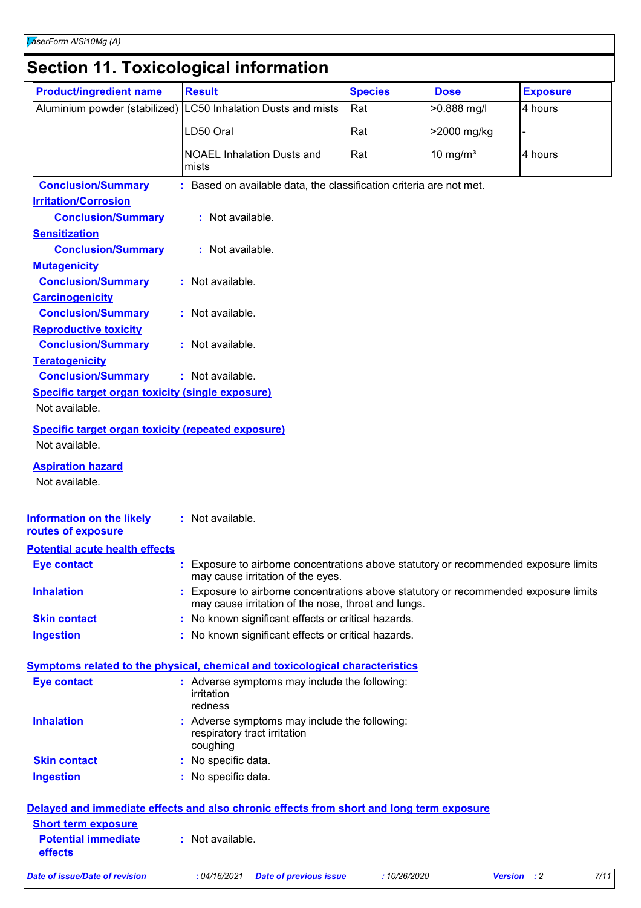# **Section 11. Toxicological information**

| <b>Product/ingredient name</b>                            | <b>Result</b>                                                                                                                             | <b>Species</b> | <b>Dose</b> | <b>Exposure</b> |
|-----------------------------------------------------------|-------------------------------------------------------------------------------------------------------------------------------------------|----------------|-------------|-----------------|
|                                                           | Aluminium powder (stabilized) LC50 Inhalation Dusts and mists                                                                             | Rat            | >0.888 mg/l | 4 hours         |
|                                                           |                                                                                                                                           |                |             |                 |
|                                                           | LD50 Oral                                                                                                                                 | Rat            | >2000 mg/kg |                 |
|                                                           | <b>NOAEL Inhalation Dusts and</b><br>mists                                                                                                | Rat            | 10 mg/ $m3$ | 4 hours         |
| <b>Conclusion/Summary</b>                                 | : Based on available data, the classification criteria are not met.                                                                       |                |             |                 |
| <b>Irritation/Corrosion</b>                               |                                                                                                                                           |                |             |                 |
| <b>Conclusion/Summary</b>                                 | : Not available.                                                                                                                          |                |             |                 |
| <b>Sensitization</b>                                      |                                                                                                                                           |                |             |                 |
| <b>Conclusion/Summary</b>                                 | : Not available.                                                                                                                          |                |             |                 |
| <b>Mutagenicity</b>                                       |                                                                                                                                           |                |             |                 |
| <b>Conclusion/Summary</b>                                 | : Not available.                                                                                                                          |                |             |                 |
| <b>Carcinogenicity</b>                                    |                                                                                                                                           |                |             |                 |
| <b>Conclusion/Summary</b>                                 | : Not available.                                                                                                                          |                |             |                 |
| <b>Reproductive toxicity</b>                              |                                                                                                                                           |                |             |                 |
| <b>Conclusion/Summary</b>                                 | : Not available.                                                                                                                          |                |             |                 |
| <b>Teratogenicity</b>                                     |                                                                                                                                           |                |             |                 |
| <b>Conclusion/Summary</b>                                 | : Not available.                                                                                                                          |                |             |                 |
| <b>Specific target organ toxicity (single exposure)</b>   |                                                                                                                                           |                |             |                 |
| Not available.                                            |                                                                                                                                           |                |             |                 |
| <b>Specific target organ toxicity (repeated exposure)</b> |                                                                                                                                           |                |             |                 |
| Not available.                                            |                                                                                                                                           |                |             |                 |
| <b>Aspiration hazard</b>                                  |                                                                                                                                           |                |             |                 |
| Not available.                                            |                                                                                                                                           |                |             |                 |
|                                                           |                                                                                                                                           |                |             |                 |
| <b>Information on the likely</b><br>routes of exposure    | : Not available.                                                                                                                          |                |             |                 |
| <b>Potential acute health effects</b>                     |                                                                                                                                           |                |             |                 |
| <b>Eye contact</b>                                        | Exposure to airborne concentrations above statutory or recommended exposure limits<br>may cause irritation of the eyes.                   |                |             |                 |
| <b>Inhalation</b>                                         | Exposure to airborne concentrations above statutory or recommended exposure limits<br>may cause irritation of the nose, throat and lungs. |                |             |                 |
| <b>Skin contact</b>                                       | : No known significant effects or critical hazards.                                                                                       |                |             |                 |
| <b>Ingestion</b>                                          | : No known significant effects or critical hazards.                                                                                       |                |             |                 |
|                                                           |                                                                                                                                           |                |             |                 |
|                                                           | <b>Symptoms related to the physical, chemical and toxicological characteristics</b>                                                       |                |             |                 |
| <b>Eye contact</b>                                        | : Adverse symptoms may include the following:<br>irritation<br>redness                                                                    |                |             |                 |
| <b>Inhalation</b>                                         | Adverse symptoms may include the following:<br>respiratory tract irritation                                                               |                |             |                 |
| <b>Skin contact</b>                                       | coughing                                                                                                                                  |                |             |                 |
|                                                           | : No specific data.                                                                                                                       |                |             |                 |
| <b>Ingestion</b>                                          | : No specific data.                                                                                                                       |                |             |                 |
|                                                           | Delayed and immediate effects and also chronic effects from short and long term exposure                                                  |                |             |                 |
| <b>Short term exposure</b>                                |                                                                                                                                           |                |             |                 |
| <b>Potential immediate</b>                                | : Not available.                                                                                                                          |                |             |                 |
| effects                                                   |                                                                                                                                           |                |             |                 |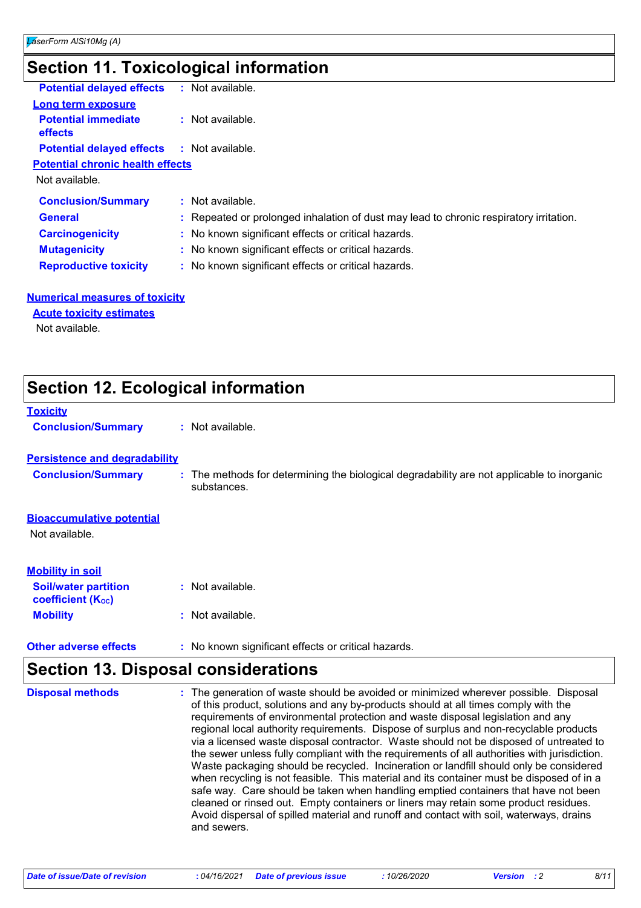# **Section 11. Toxicological information**

| <b>Potential delayed effects</b>                  | : Not available.                                                                       |
|---------------------------------------------------|----------------------------------------------------------------------------------------|
| <b>Long term exposure</b>                         |                                                                                        |
| <b>Potential immediate</b><br><b>effects</b>      | $:$ Not available.                                                                     |
| <b>Potential delayed effects : Not available.</b> |                                                                                        |
| <b>Potential chronic health effects</b>           |                                                                                        |
| Not available.                                    |                                                                                        |
| <b>Conclusion/Summary</b>                         | : Not available.                                                                       |
| <b>General</b>                                    | : Repeated or prolonged inhalation of dust may lead to chronic respiratory irritation. |
| <b>Carcinogenicity</b>                            | : No known significant effects or critical hazards.                                    |
| <b>Mutagenicity</b>                               | : No known significant effects or critical hazards.                                    |
| <b>Reproductive toxicity</b>                      | : No known significant effects or critical hazards.                                    |
|                                                   |                                                                                        |

### **Numerical measures of toxicity**

**Acute toxicity estimates**

Not available.

| <b>Section 12. Ecological information</b>               |                                                                                                           |  |  |  |
|---------------------------------------------------------|-----------------------------------------------------------------------------------------------------------|--|--|--|
| <b>Toxicity</b>                                         |                                                                                                           |  |  |  |
| <b>Conclusion/Summary</b>                               | : Not available.                                                                                          |  |  |  |
| <b>Persistence and degradability</b>                    |                                                                                                           |  |  |  |
| <b>Conclusion/Summary</b>                               | : The methods for determining the biological degradability are not applicable to inorganic<br>substances. |  |  |  |
| <b>Bioaccumulative potential</b><br>Not available.      |                                                                                                           |  |  |  |
| <b>Mobility in soil</b>                                 |                                                                                                           |  |  |  |
| <b>Soil/water partition</b><br><b>coefficient (Koc)</b> | $:$ Not available.                                                                                        |  |  |  |
| <b>Mobility</b>                                         | : Not available.                                                                                          |  |  |  |
| <b>Other adverse effects</b>                            | : No known significant effects or critical hazards.                                                       |  |  |  |

# **Section 13. Disposal considerations**

| <b>Disposal methods</b> | : The generation of waste should be avoided or minimized wherever possible. Disposal<br>of this product, solutions and any by-products should at all times comply with the<br>requirements of environmental protection and waste disposal legislation and any<br>regional local authority requirements. Dispose of surplus and non-recyclable products<br>via a licensed waste disposal contractor. Waste should not be disposed of untreated to<br>the sewer unless fully compliant with the requirements of all authorities with jurisdiction.<br>Waste packaging should be recycled. Incineration or landfill should only be considered<br>when recycling is not feasible. This material and its container must be disposed of in a<br>safe way. Care should be taken when handling emptied containers that have not been<br>cleaned or rinsed out. Empty containers or liners may retain some product residues.<br>Avoid dispersal of spilled material and runoff and contact with soil, waterways, drains<br>and sewers. |
|-------------------------|-------------------------------------------------------------------------------------------------------------------------------------------------------------------------------------------------------------------------------------------------------------------------------------------------------------------------------------------------------------------------------------------------------------------------------------------------------------------------------------------------------------------------------------------------------------------------------------------------------------------------------------------------------------------------------------------------------------------------------------------------------------------------------------------------------------------------------------------------------------------------------------------------------------------------------------------------------------------------------------------------------------------------------|
|-------------------------|-------------------------------------------------------------------------------------------------------------------------------------------------------------------------------------------------------------------------------------------------------------------------------------------------------------------------------------------------------------------------------------------------------------------------------------------------------------------------------------------------------------------------------------------------------------------------------------------------------------------------------------------------------------------------------------------------------------------------------------------------------------------------------------------------------------------------------------------------------------------------------------------------------------------------------------------------------------------------------------------------------------------------------|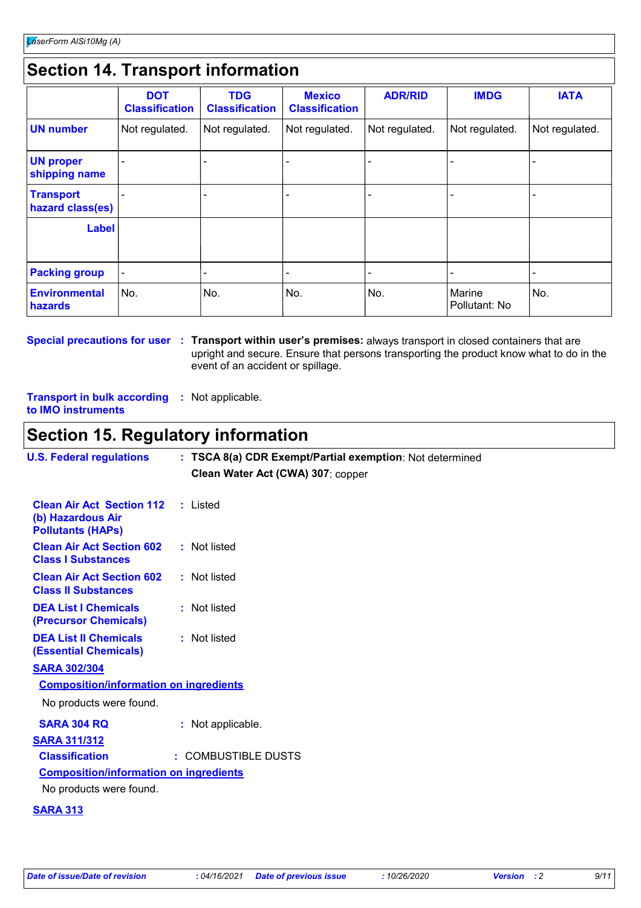# **Section 14. Transport information**

|                                      | <b>DOT</b><br><b>Classification</b> | <b>TDG</b><br><b>Classification</b> | <b>Mexico</b><br><b>Classification</b> | <b>ADR/RID</b> | <b>IMDG</b>             | <b>IATA</b>    |
|--------------------------------------|-------------------------------------|-------------------------------------|----------------------------------------|----------------|-------------------------|----------------|
| <b>UN number</b>                     | Not regulated.                      | Not regulated.                      | Not regulated.                         | Not regulated. | Not regulated.          | Not regulated. |
| <b>UN proper</b><br>shipping name    |                                     |                                     |                                        |                |                         |                |
| <b>Transport</b><br>hazard class(es) |                                     |                                     |                                        |                |                         |                |
| <b>Label</b>                         |                                     |                                     |                                        |                |                         |                |
| <b>Packing group</b>                 |                                     |                                     |                                        |                |                         |                |
| <b>Environmental</b><br>hazards      | No.                                 | No.                                 | No.                                    | No.            | Marine<br>Pollutant: No | No.            |

**Special precautions for user Transport within user's premises:** always transport in closed containers that are **:** upright and secure. Ensure that persons transporting the product know what to do in the event of an accident or spillage.

**Transport in bulk according :** Not applicable. **to IMO instruments**

# **Section 15. Regulatory information**

| <b>U.S. Federal regulations</b>                                                            | : TSCA 8(a) CDR Exempt/Partial exemption: Not determined |
|--------------------------------------------------------------------------------------------|----------------------------------------------------------|
|                                                                                            | Clean Water Act (CWA) 307: copper                        |
| <b>Clean Air Act Section 112</b> : Listed<br>(b) Hazardous Air<br><b>Pollutants (HAPs)</b> |                                                          |
| <b>Clean Air Act Section 602</b><br><b>Class I Substances</b>                              | : Not listed                                             |
| <b>Clean Air Act Section 602</b><br><b>Class II Substances</b>                             | : Not listed                                             |
| <b>DEA List I Chemicals</b><br>(Precursor Chemicals)                                       | : Not listed                                             |
| <b>DEA List II Chemicals</b><br><b>(Essential Chemicals)</b>                               | : Not listed                                             |
| <b>SARA 302/304</b>                                                                        |                                                          |
| <b>Composition/information on ingredients</b>                                              |                                                          |
| No products were found.                                                                    |                                                          |
| <b>SARA 304 RQ</b>                                                                         | : Not applicable.                                        |
| <b>SARA 311/312</b>                                                                        |                                                          |
| <b>Classification</b>                                                                      | : COMBUSTIBLE DUSTS                                      |
| <b>Composition/information on ingredients</b>                                              |                                                          |
| No products were found.                                                                    |                                                          |
|                                                                                            |                                                          |

### **SARA 313**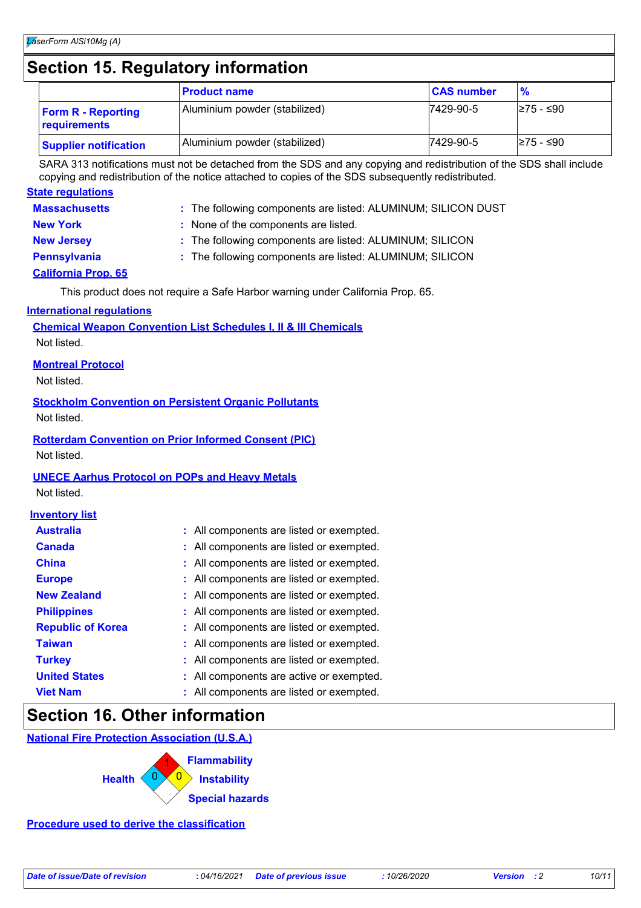# **Section 15. Regulatory information**

|                                           | <b>Product name</b>           | <b>CAS number</b> | $\frac{9}{6}$ |
|-------------------------------------------|-------------------------------|-------------------|---------------|
| <b>Form R - Reporting</b><br>requirements | Aluminium powder (stabilized) | 7429-90-5         | l≥75 - ≤90    |
| <b>Supplier notification</b>              | Aluminium powder (stabilized) | 7429-90-5         | I≥75 - ≤90    |

SARA 313 notifications must not be detached from the SDS and any copying and redistribution of the SDS shall include copying and redistribution of the notice attached to copies of the SDS subsequently redistributed.

### **State regulations**

| <b>Massachusetts</b> | : The following components are listed: ALUMINUM; SILICON DUST |
|----------------------|---------------------------------------------------------------|
| <b>New York</b>      | : None of the components are listed.                          |

- **New Jersey :** The following components are listed: ALUMINUM; SILICON
- **Pennsylvania :** The following components are listed: ALUMINUM; SILICON

### **California Prop. 65**

This product does not require a Safe Harbor warning under California Prop. 65.

### **International regulations**

| <b>Chemical Weapon Convention List Schedules I, II &amp; III Chemicals</b> |  |
|----------------------------------------------------------------------------|--|
| Not listed.                                                                |  |

### **Montreal Protocol**

Not listed.

## **Stockholm Convention on Persistent Organic Pollutants**

Not listed.

### **Rotterdam Convention on Prior Informed Consent (PIC)**

Not listed.

### **UNECE Aarhus Protocol on POPs and Heavy Metals**

Not listed.

### **Inventory list**

| <b>Australia</b>         | : All components are listed or exempted. |
|--------------------------|------------------------------------------|
| <b>Canada</b>            | : All components are listed or exempted. |
| <b>China</b>             | : All components are listed or exempted. |
| <b>Europe</b>            | : All components are listed or exempted. |
| <b>New Zealand</b>       | : All components are listed or exempted. |
| <b>Philippines</b>       | : All components are listed or exempted. |
| <b>Republic of Korea</b> | : All components are listed or exempted. |
| <b>Taiwan</b>            | : All components are listed or exempted. |
| <b>Turkey</b>            | : All components are listed or exempted. |
| <b>United States</b>     | : All components are active or exempted. |
| <b>Viet Nam</b>          | : All components are listed or exempted. |

# **Section 16. Other information**

**National Fire Protection Association (U.S.A.)**



**Procedure used to derive the classification**